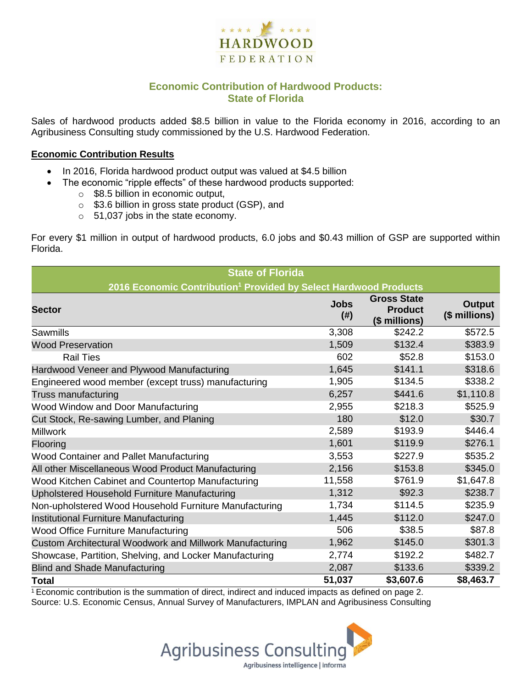

## **Economic Contribution of Hardwood Products: State of Florida**

Sales of hardwood products added \$8.5 billion in value to the Florida economy in 2016, according to an Agribusiness Consulting study commissioned by the U.S. Hardwood Federation.

#### **Economic Contribution Results**

- In 2016, Florida hardwood product output was valued at \$4.5 billion
	- The economic "ripple effects" of these hardwood products supported:
		- $\circ$  \$8.5 billion in economic output,
		- o \$3.6 billion in gross state product (GSP), and
		- o 51,037 jobs in the state economy.

For every \$1 million in output of hardwood products, 6.0 jobs and \$0.43 million of GSP are supported within Florida.

| <b>State of Florida</b>                                                      |                     |                                                       |                                |  |  |  |
|------------------------------------------------------------------------------|---------------------|-------------------------------------------------------|--------------------------------|--|--|--|
| 2016 Economic Contribution <sup>1</sup> Provided by Select Hardwood Products |                     |                                                       |                                |  |  |  |
| <b>Sector</b>                                                                | <b>Jobs</b><br>(# ) | <b>Gross State</b><br><b>Product</b><br>(\$ millions) | <b>Output</b><br>(\$ millions) |  |  |  |
| Sawmills                                                                     | 3,308               | \$242.2                                               | \$572.5                        |  |  |  |
| <b>Wood Preservation</b>                                                     | 1,509               | \$132.4                                               | \$383.9                        |  |  |  |
| <b>Rail Ties</b>                                                             | 602                 | \$52.8                                                | \$153.0                        |  |  |  |
| Hardwood Veneer and Plywood Manufacturing                                    | 1,645               | \$141.1                                               | \$318.6                        |  |  |  |
| Engineered wood member (except truss) manufacturing                          | 1,905               | \$134.5                                               | \$338.2                        |  |  |  |
| Truss manufacturing                                                          | 6,257               | \$441.6                                               | \$1,110.8                      |  |  |  |
| Wood Window and Door Manufacturing                                           | 2,955               | \$218.3                                               | \$525.9                        |  |  |  |
| Cut Stock, Re-sawing Lumber, and Planing                                     | 180                 | \$12.0                                                | \$30.7                         |  |  |  |
| <b>Millwork</b>                                                              | 2,589               | \$193.9                                               | \$446.4                        |  |  |  |
| Flooring                                                                     | 1,601               | \$119.9                                               | \$276.1                        |  |  |  |
| Wood Container and Pallet Manufacturing                                      | 3,553               | \$227.9                                               | \$535.2                        |  |  |  |
| All other Miscellaneous Wood Product Manufacturing                           | 2,156               | \$153.8                                               | \$345.0                        |  |  |  |
| Wood Kitchen Cabinet and Countertop Manufacturing                            | 11,558              | \$761.9                                               | \$1,647.8                      |  |  |  |
| Upholstered Household Furniture Manufacturing                                | 1,312               | \$92.3                                                | \$238.7                        |  |  |  |
| Non-upholstered Wood Household Furniture Manufacturing                       | 1,734               | \$114.5                                               | \$235.9                        |  |  |  |
| Institutional Furniture Manufacturing                                        | 1,445               | \$112.0                                               | \$247.0                        |  |  |  |
| Wood Office Furniture Manufacturing                                          | 506                 | \$38.5                                                | \$87.8                         |  |  |  |
| Custom Architectural Woodwork and Millwork Manufacturing                     | 1,962               | \$145.0                                               | \$301.3                        |  |  |  |
| Showcase, Partition, Shelving, and Locker Manufacturing                      | 2,774               | \$192.2                                               | \$482.7                        |  |  |  |
| <b>Blind and Shade Manufacturing</b>                                         | 2,087               | \$133.6                                               | \$339.2                        |  |  |  |
| <b>Total</b>                                                                 | 51,037              | \$3,607.6                                             | \$8,463.7                      |  |  |  |

 $1$  Economic contribution is the summation of direct, indirect and induced impacts as defined on page 2. Source: U.S. Economic Census, Annual Survey of Manufacturers, IMPLAN and Agribusiness Consulting